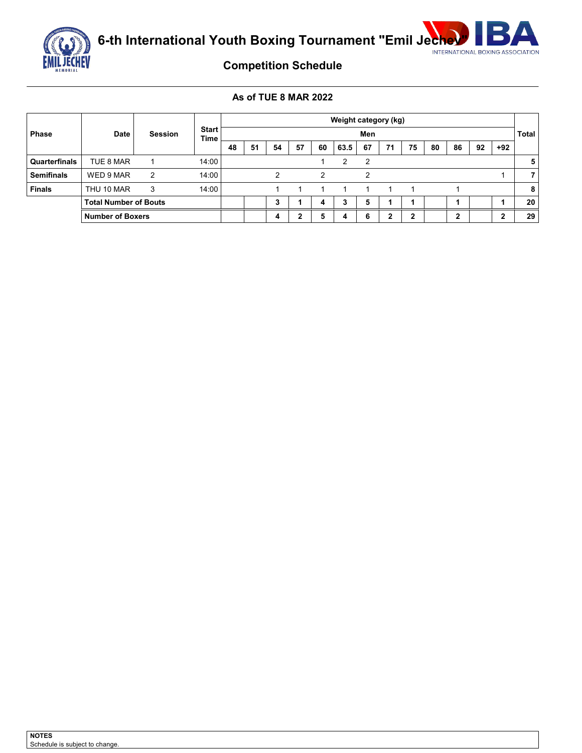

**6-th International Youth Boxing Tournament "Emil Jechev"** NET ROYAL BOXING ASSOCIATION



# **Competition Schedule**

## **As of TUE 8 MAR 2022**

|                   |                              |                |                             |    |    | Weight category (kg) |    |    |      |     |    |    |    |              |    |       |    |
|-------------------|------------------------------|----------------|-----------------------------|----|----|----------------------|----|----|------|-----|----|----|----|--------------|----|-------|----|
| <b>Phase</b>      | <b>Date</b>                  | <b>Session</b> | <b>Start</b><br><b>Time</b> |    |    |                      |    |    |      | Men |    |    |    | <b>Total</b> |    |       |    |
|                   |                              |                |                             | 48 | 51 | 54                   | 57 | 60 | 63.5 | 67  | 71 | 75 | 80 | 86           | 92 | $+92$ |    |
| Quarterfinals     | TUE 8 MAR                    |                | 14:00                       |    |    |                      |    |    | 2    | 2   |    |    |    |              |    |       | 5  |
| <b>Semifinals</b> | WED 9 MAR                    | 2              | 14:00                       |    |    | っ                    |    | 2  |      | っ   |    |    |    |              |    |       |    |
| <b>Finals</b>     | THU 10 MAR                   | 3              | 14:00                       |    |    |                      |    |    |      | 1   | 1  |    |    |              |    |       | 8  |
|                   | <b>Total Number of Bouts</b> |                |                             |    |    | 3                    |    | 4  | 3    | 5   |    |    |    |              |    |       | 20 |
|                   | <b>Number of Boxers</b>      |                |                             |    |    | 4                    | າ  | 5  | 4    | 6   | ◠  |    |    | ◠<br>▴       |    | ∍     | 29 |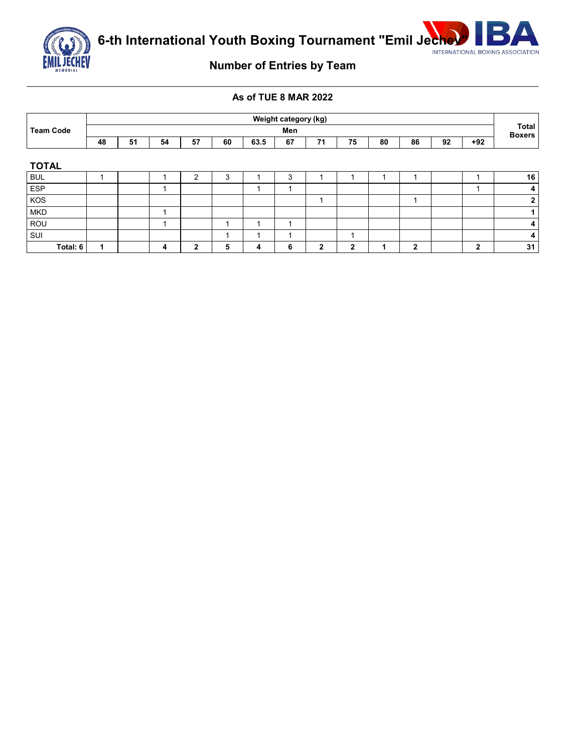



# **Number of Entries by Team**

## **As of TUE 8 MAR 2022**

|                  |     | Weight category (kg) |    |    |        |      |    |    |              |    |              |    |                        |                |
|------------------|-----|----------------------|----|----|--------|------|----|----|--------------|----|--------------|----|------------------------|----------------|
| <b>Team Code</b> | Men |                      |    |    |        |      |    |    |              |    |              |    | Total<br><b>Boxers</b> |                |
|                  | 48  | 51                   | 54 | 57 | 60     | 63.5 | 67 | 71 | 75           | 80 | 86           | 92 | $+92$                  |                |
|                  |     |                      |    |    |        |      |    |    |              |    |              |    |                        |                |
| <b>TOTAL</b>     |     |                      |    |    |        |      |    |    |              |    |              |    |                        |                |
| <b>BUL</b>       |     |                      |    | っ  | ◠<br>J |      | 3  |    |              |    |              |    |                        | 16             |
| <b>ESP</b>       |     |                      |    |    |        |      | ٠  |    |              |    |              |    |                        | 4 <sub>1</sub> |
| KOS              |     |                      |    |    |        |      |    | и  |              |    |              |    |                        | $\mathbf{2}$   |
| <b>MKD</b>       |     |                      |    |    |        |      |    |    |              |    |              |    |                        |                |
| ROU              |     |                      |    |    |        |      | и  |    |              |    |              |    |                        | $\overline{4}$ |
| SUI              |     |                      |    |    |        |      | и  |    |              |    |              |    |                        | 4              |
| Total: 6         |     |                      | 4  | 2  | 5      | 4    | 6  | 2  | $\mathbf{2}$ |    | $\mathbf{2}$ |    | $\mathbf{2}$           | 31             |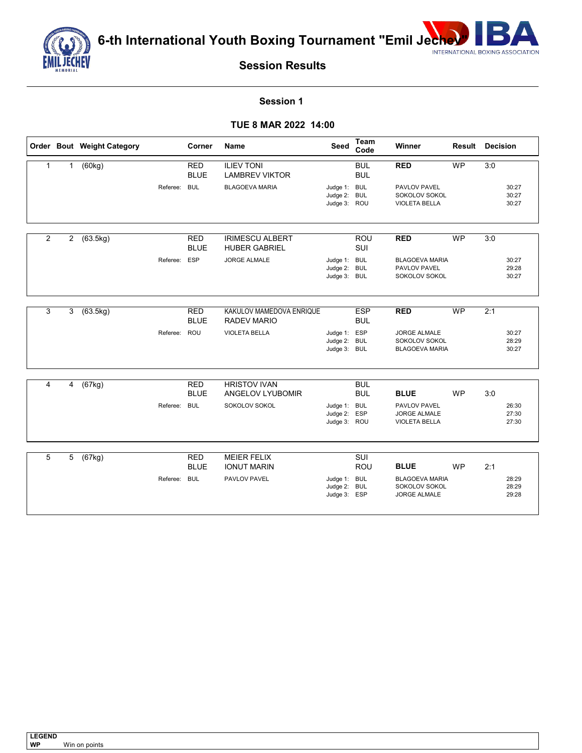

**6-th International Youth Boxing Tournament "Emil Jechevy Report ASSOCIATION** 



**Session Results**

#### **Session 1**

## **TUE 8 MAR 2022 14:00**

|                         |                | Order Bout Weight Category |              | Corner                    | <b>Name</b>                                    | Seed                                         | Team<br>Code             | Winner                                                        | <b>Result Decision</b> |     |                         |
|-------------------------|----------------|----------------------------|--------------|---------------------------|------------------------------------------------|----------------------------------------------|--------------------------|---------------------------------------------------------------|------------------------|-----|-------------------------|
| $\mathbf{1}$            | $\mathbf{1}$   | (60kg)                     |              | <b>RED</b><br><b>BLUE</b> | <b>ILIEV TONI</b><br><b>LAMBREV VIKTOR</b>     |                                              | <b>BUL</b><br><b>BUL</b> | <b>RED</b>                                                    | <b>WP</b>              | 3:0 |                         |
|                         |                |                            | Referee:     | <b>BUL</b>                | <b>BLAGOEVA MARIA</b>                          | Judge 1: BUL<br>Judge 2:<br>Judge 3: ROU     | <b>BUL</b>               | PAVLOV PAVEL<br>SOKOLOV SOKOL<br><b>VIOLETA BELLA</b>         |                        |     | 30:27<br>30:27<br>30:27 |
| 2                       | $\overline{2}$ | (63.5kg)                   |              | <b>RED</b><br><b>BLUE</b> | <b>IRIMESCU ALBERT</b><br><b>HUBER GABRIEL</b> |                                              | ROU<br>SUI               | <b>RED</b>                                                    | <b>WP</b>              | 3:0 |                         |
|                         |                |                            | Referee: ESP |                           | <b>JORGE ALMALE</b>                            | Judge 1: BUL<br>Judge 2: BUL<br>Judge 3: BUL |                          | <b>BLAGOEVA MARIA</b><br>PAVLOV PAVEL<br>SOKOLOV SOKOL        |                        |     | 30:27<br>29:28<br>30:27 |
| 3                       | 3              | (63.5kg)                   |              | <b>RED</b><br><b>BLUE</b> | KAKULOV MAMEDOVA ENRIQUE<br><b>RADEV MARIO</b> |                                              | <b>ESP</b><br><b>BUL</b> | <b>RED</b>                                                    | <b>WP</b>              | 2:1 |                         |
|                         |                |                            | Referee: ROU |                           | <b>VIOLETA BELLA</b>                           | Judge 1: ESP<br>Judge 2: BUL<br>Judge 3: BUL |                          | <b>JORGE ALMALE</b><br>SOKOLOV SOKOL<br><b>BLAGOEVA MARIA</b> |                        |     | 30:27<br>28:29<br>30:27 |
| $\overline{\mathbf{4}}$ |                |                            |              |                           | <b>HRISTOV IVAN</b>                            |                                              |                          |                                                               |                        |     |                         |
|                         | 4              | (67kg)                     |              | <b>RED</b><br><b>BLUE</b> | ANGELOV LYUBOMIR                               |                                              | <b>BUL</b><br><b>BUL</b> | <b>BLUE</b>                                                   | <b>WP</b>              | 3:0 |                         |
|                         |                |                            | Referee: BUL |                           | SOKOLOV SOKOL                                  | Judge 1: BUL<br>Judge 2:<br>Judge 3: ROU     | ESP                      | PAVLOV PAVEL<br><b>JORGE ALMALE</b><br><b>VIOLETA BELLA</b>   |                        |     | 26:30<br>27:30<br>27:30 |
| 5                       | 5              | (67kg)                     |              | <b>RED</b>                | <b>MEIER FELIX</b>                             |                                              | SUI                      |                                                               |                        |     |                         |
|                         |                |                            |              | <b>BLUE</b>               | <b>IONUT MARIN</b>                             |                                              | ROU                      | <b>BLUE</b>                                                   | <b>WP</b>              | 2:1 |                         |
|                         |                |                            | Referee: BUL |                           | PAVLOV PAVEL                                   | Judge 1: BUL<br>Judge 2:<br>Judge 3: ESP     | <b>BUL</b>               | <b>BLAGOEVA MARIA</b><br>SOKOLOV SOKOL<br><b>JORGE ALMALE</b> |                        |     | 28:29<br>28:29<br>29:28 |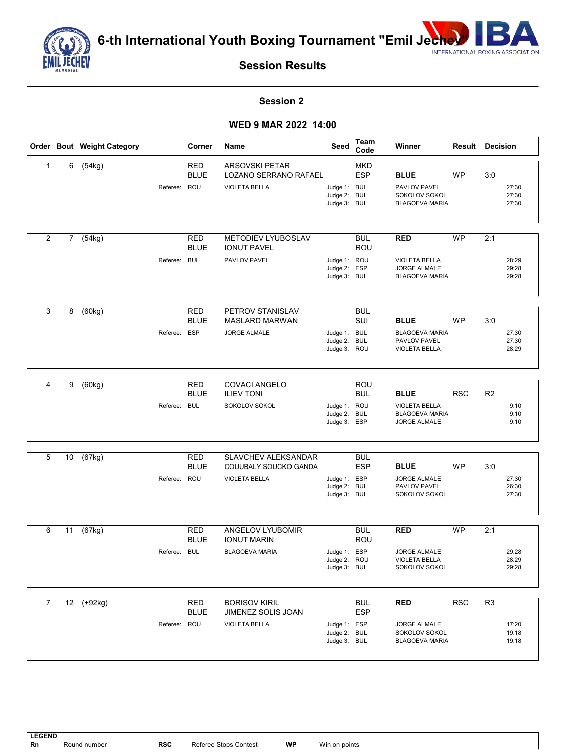

**6-th International Youth Boxing Tournament "Emil Jechev"** NEW ASSOCIATION



**Session Results**

### **Session 2**

#### **WED 9 MAR 2022 14:00**

|                |             | Order Bout Weight Category |              | Corner                    | Name                                                                   | Seed                                         | <b>Team</b><br>Code      | Winner                                                                       | <b>Result Decision</b> |                |                         |
|----------------|-------------|----------------------------|--------------|---------------------------|------------------------------------------------------------------------|----------------------------------------------|--------------------------|------------------------------------------------------------------------------|------------------------|----------------|-------------------------|
| 1              | 6           | (54kg)                     | Referee: ROU | <b>RED</b><br><b>BLUE</b> | <b>ARSOVSKI PETAR</b><br>LOZANO SERRANO RAFAEL<br><b>VIOLETA BELLA</b> | Judge 1: BUL<br>Judge 2: BUL                 | <b>MKD</b><br><b>ESP</b> | <b>BLUE</b><br>PAVLOV PAVEL<br>SOKOLOV SOKOL                                 | <b>WP</b>              | 3:0            | 27:30<br>27:30          |
|                |             |                            |              |                           |                                                                        | Judge 3: BUL                                 |                          | <b>BLAGOEVA MARIA</b>                                                        |                        |                | 27:30                   |
| 2              | $7^{\circ}$ | (54kg)                     |              | <b>RED</b><br><b>BLUE</b> | METODIEV LYUBOSLAV<br><b>IONUT PAVEL</b>                               |                                              | <b>BUL</b><br>ROU        | <b>RED</b>                                                                   | <b>WP</b>              | 2:1            |                         |
|                |             |                            | Referee:     | <b>BUL</b>                | PAVLOV PAVEL                                                           | Judge 1: ROU<br>Judge 2: ESP<br>Judge 3: BUL |                          | <b>VIOLETA BELLA</b><br><b>JORGE ALMALE</b><br><b>BLAGOEVA MARIA</b>         |                        |                | 28:29<br>29:28<br>29:28 |
| 3              | 8           | (60kg)                     |              | <b>RED</b><br><b>BLUE</b> | PETROV STANISLAV<br><b>MASLARD MARWAN</b>                              |                                              | <b>BUL</b><br>SUI        | <b>BLUE</b>                                                                  | <b>WP</b>              | 3:0            |                         |
|                |             |                            | Referee: ESP |                           | JORGE ALMALE                                                           | Judge 1: BUL<br>Judge 2:<br>Judge 3: ROU     | <b>BUL</b>               | <b>BLAGOEVA MARIA</b><br>PAVLOV PAVEL<br><b>VIOLETA BELLA</b>                |                        |                | 27:30<br>27:30<br>28:29 |
| 4              | 9           | (60kg)                     |              | <b>RED</b>                | <b>COVACI ANGELO</b>                                                   |                                              | ROU                      |                                                                              |                        |                |                         |
|                |             |                            | Referee: BUL | <b>BLUE</b>               | <b>ILIEV TONI</b><br>SOKOLOV SOKOL                                     | Judge 1: ROU<br>Judge 2:<br>Judge 3: ESP     | <b>BUL</b><br><b>BUL</b> | <b>BLUE</b><br><b>VIOLETA BELLA</b><br><b>BLAGOEVA MARIA</b><br>JORGE ALMALE | <b>RSC</b>             | R <sub>2</sub> | 9:10<br>9:10<br>9:10    |
| 5              | 10          | (67kg)                     |              | <b>RED</b>                | <b>SLAVCHEV ALEKSANDAR</b>                                             |                                              | <b>BUL</b>               |                                                                              |                        |                |                         |
|                |             |                            | Referee: ROU | <b>BLUE</b>               | COUUBALY SOUCKO GANDA<br><b>VIOLETA BELLA</b>                          | Judge 1: ESP<br>Judge 2: BUL<br>Judge 3: BUL | <b>ESP</b>               | <b>BLUE</b><br><b>JORGE ALMALE</b><br>PAVLOV PAVEL<br>SOKOLOV SOKOL          | <b>WP</b>              | 3:0            | 27:30<br>26:30<br>27:30 |
| 6              | 11          | (67kg)                     |              | <b>RED</b><br><b>BLUE</b> | ANGELOV LYUBOMIR<br><b>IONUT MARIN</b>                                 |                                              | <b>BUL</b><br>ROU        | <b>RED</b>                                                                   | <b>WP</b>              | 2:1            |                         |
|                |             |                            | Referee: BUL |                           | <b>BLAGOEVA MARIA</b>                                                  | Judge 1: ESP<br>Judge 2: ROU<br>Judge 3: BUL |                          | <b>JORGE ALMALE</b><br><b>VIOLETA BELLA</b><br>SOKOLOV SOKOL                 |                        |                | 29:28<br>28:29<br>29:28 |
| $\overline{7}$ |             | 12 (+92kg)                 |              | <b>RED</b>                | <b>BORISOV KIRIL</b>                                                   |                                              | <b>BUL</b>               | <b>RED</b>                                                                   | RSC                    | R <sub>3</sub> |                         |
|                |             |                            |              | <b>BLUE</b>               | JIMENEZ SOLIS JOAN                                                     |                                              | <b>ESP</b>               |                                                                              |                        |                |                         |
|                |             |                            | Referee: ROU |                           | <b>VIOLETA BELLA</b>                                                   | Judge 1: ESP<br>Judge 2: BUL<br>Judge 3: BUL |                          | <b>JORGE ALMALE</b><br>SOKOLOV SOKOL<br><b>BLAGOEVA MARIA</b>                |                        |                | 17:20<br>19:18<br>19:18 |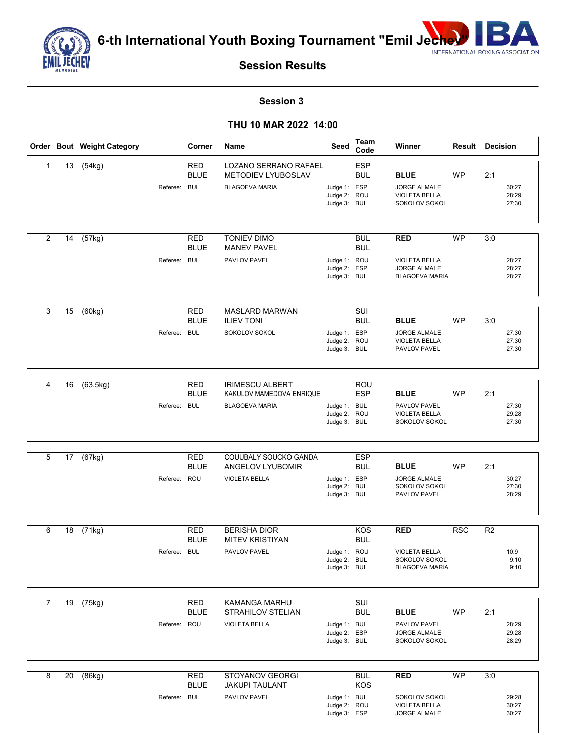

**6-th International Youth Boxing Tournament "Emil Jechel"** 



**Session Results**

### **Session 3**

#### **THU 10 MAR 2022 14:00**

|                |    | Order Bout Weight Category | Corner                                    | Name                                                                               | Seed                                         | Team<br>Code                           | Winner                                                                       |            | <b>Result Decision</b>                 |
|----------------|----|----------------------------|-------------------------------------------|------------------------------------------------------------------------------------|----------------------------------------------|----------------------------------------|------------------------------------------------------------------------------|------------|----------------------------------------|
| $\mathbf{1}$   | 13 | (54kg)                     | <b>RED</b><br><b>BLUE</b><br>Referee: BUL | <b>LOZANO SERRANO RAFAEL</b><br><b>METODIEV LYUBOSLAV</b><br><b>BLAGOEVA MARIA</b> | Judge 1: ESP<br>Judge 2:<br>Judge 3: BUL     | <b>ESP</b><br><b>BUL</b><br>ROU        | <b>BLUE</b><br><b>JORGE ALMALE</b><br><b>VIOLETA BELLA</b><br>SOKOLOV SOKOL  | WP         | 2:1<br>30:27<br>28:29<br>27:30         |
| $\overline{2}$ | 14 | (57kg)                     | <b>RED</b><br><b>BLUE</b><br>Referee: BUL | <b>TONIEV DIMO</b><br><b>MANEV PAVEL</b><br>PAVLOV PAVEL                           | Judge 1: ROU<br>Judge 2: ESP<br>Judge 3: BUL | <b>BUL</b><br><b>BUL</b>               | <b>RED</b><br><b>VIOLETA BELLA</b><br>JORGE ALMALE<br><b>BLAGOEVA MARIA</b>  | <b>WP</b>  | 3:0<br>28:27<br>28:27<br>28:27         |
| 3              | 15 | (60kg)                     | <b>RED</b><br><b>BLUE</b><br>Referee: BUL | MASLARD MARWAN<br><b>ILIEV TONI</b><br>SOKOLOV SOKOL                               | Judge 1: ESP<br>Judge 2: ROU<br>Judge 3: BUL | SUI<br><b>BUL</b>                      | <b>BLUE</b><br><b>JORGE ALMALE</b><br><b>VIOLETA BELLA</b><br>PAVLOV PAVEL   | <b>WP</b>  | 3:0<br>27:30<br>27:30<br>27:30         |
| 4              | 16 | (63.5kg)                   | <b>RED</b><br><b>BLUE</b><br>Referee: BUL | <b>IRIMESCU ALBERT</b><br>KAKULOV MAMEDOVA ENRIQUE<br><b>BLAGOEVA MARIA</b>        | Judge 1: BUL<br>Judge 2:<br>Judge 3: BUL     | ROU<br><b>ESP</b><br>ROU               | <b>BLUE</b><br>PAVLOV PAVEL<br><b>VIOLETA BELLA</b><br>SOKOLOV SOKOL         | <b>WP</b>  | 2:1<br>27:30<br>29:28<br>27:30         |
| 5              | 17 | (67kg)                     | <b>RED</b><br><b>BLUE</b><br>Referee: ROU | COUUBALY SOUCKO GANDA<br>ANGELOV LYUBOMIR<br><b>VIOLETA BELLA</b>                  | Judge 1: ESP<br>Judge 2:<br>Judge 3: BUL     | <b>ESP</b><br><b>BUL</b><br><b>BUL</b> | <b>BLUE</b><br>JORGE ALMALE<br>SOKOLOV SOKOL<br>PAVLOV PAVEL                 | <b>WP</b>  | 2:1<br>30:27<br>27:30<br>28:29         |
| 6              | 18 | (71kg)                     | <b>RED</b><br><b>BLUE</b><br>Referee: BUL | <b>BERISHA DIOR</b><br><b>MITEV KRISTIYAN</b><br>PAVLOV PAVEL                      | Judge 1: ROU<br>Judge 2: BUL<br>Judge 3: BUL | KOS<br><b>BUL</b>                      | <b>RED</b><br><b>VIOLETA BELLA</b><br>SOKOLOV SOKOL<br><b>BLAGOEVA MARIA</b> | <b>RSC</b> | R <sub>2</sub><br>10:9<br>9:10<br>9:10 |
| 7              |    | 19 (75kg)                  | <b>RED</b><br><b>BLUE</b><br>Referee: ROU | KAMANGA MARHU<br>STRAHILOV STELIAN<br><b>VIOLETA BELLA</b>                         | Judge 1: BUL<br>Judge 2: ESP<br>Judge 3: BUL | SUI<br><b>BUL</b>                      | <b>BLUE</b><br>PAVLOV PAVEL<br>JORGE ALMALE<br>SOKOLOV SOKOL                 | <b>WP</b>  | 2:1<br>28:29<br>29:28<br>28:29         |
| 8              | 20 | (86kg)                     | <b>RED</b><br><b>BLUE</b><br>Referee: BUL | STOYANOV GEORGI<br><b>JAKUPI TAULANT</b><br>PAVLOV PAVEL                           | Judge 1: BUL<br>Judge 2: ROU<br>Judge 3: ESP | <b>BUL</b><br>KOS                      | RED<br>SOKOLOV SOKOL<br><b>VIOLETA BELLA</b><br><b>JORGE ALMALE</b>          | <b>WP</b>  | 3:0<br>29:28<br>30:27<br>30:27         |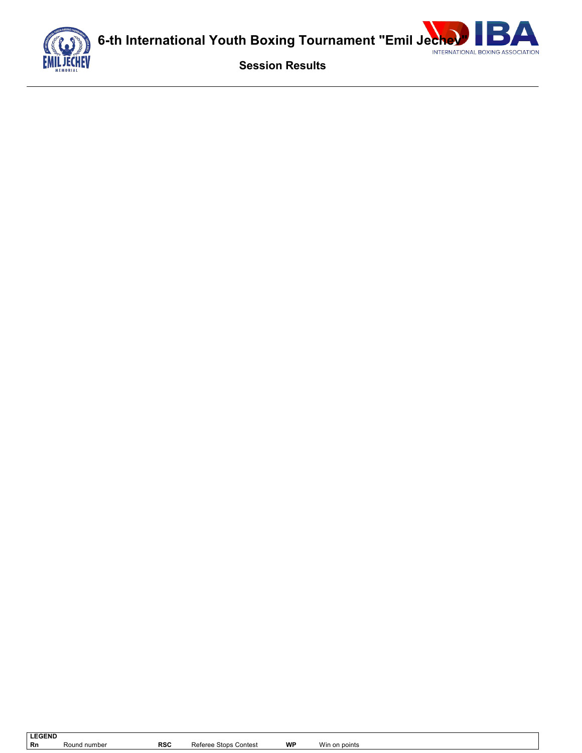



**Session Results**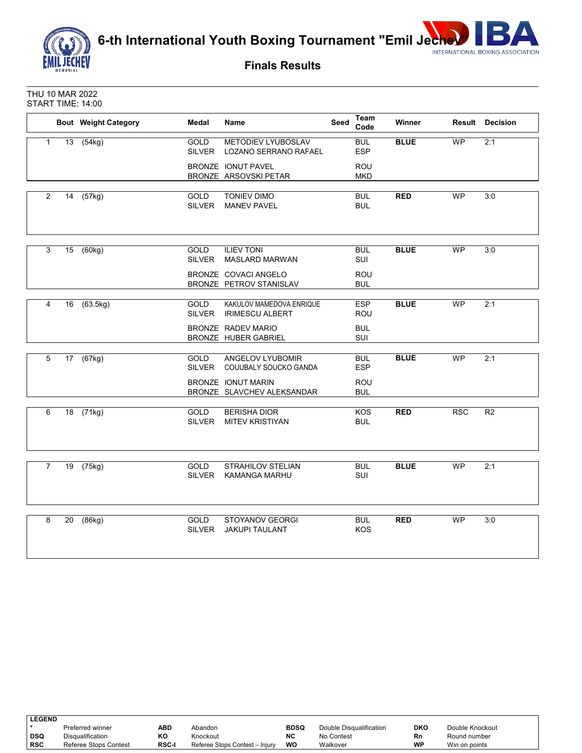

**6-th International Youth Boxing Tournament "Emil Jechev"** NEW ASSOCIATION



**Finals Results**

THU 10 MAR 2022 START TIME: 14:00

|                |    | <b>Bout Weight Category</b> | Medal                        | Name                                               | Seed | Team<br>Code             | Winner      |            | <b>Result Decision</b> |
|----------------|----|-----------------------------|------------------------------|----------------------------------------------------|------|--------------------------|-------------|------------|------------------------|
| $\mathbf{1}$   |    | 13 (54kg)                   | <b>GOLD</b><br><b>SILVER</b> | <b>METODIEV LYUBOSLAV</b><br>LOZANO SERRANO RAFAEL |      | <b>BUL</b><br><b>ESP</b> | <b>BLUE</b> | <b>WP</b>  | 2:1                    |
|                |    |                             |                              | BRONZE IONUT PAVEL<br>BRONZE ARSOVSKI PETAR        |      | <b>ROU</b><br><b>MKD</b> |             |            |                        |
| $\overline{2}$ | 14 | (57kg)                      | GOLD<br><b>SILVER</b>        | <b>TONIEV DIMO</b><br><b>MANEV PAVEL</b>           |      | <b>BUL</b><br><b>BUL</b> | <b>RED</b>  | WP         | 3:0                    |
| 3              |    | 15 (60kg)                   | <b>GOLD</b><br>SILVER        | <b>ILIEV TONI</b><br><b>MASLARD MARWAN</b>         |      | <b>BUL</b><br>SUI        | <b>BLUE</b> | WP         | 3:0                    |
|                |    |                             |                              | BRONZE COVACI ANGELO<br>BRONZE PETROV STANISLAV    |      | ROU<br><b>BUL</b>        |             |            |                        |
| 4              |    | 16 (63.5kg)                 | GOLD<br><b>SILVER</b>        | KAKULOV MAMEDOVA ENRIQUE<br><b>IRIMESCU ALBERT</b> |      | <b>ESP</b><br>ROU        | <b>BLUE</b> | <b>WP</b>  | 2:1                    |
|                |    |                             |                              | BRONZE RADEV MARIO<br>BRONZE HUBER GABRIEL         |      | <b>BUL</b><br>SUI        |             |            |                        |
| 5              |    | 17 (67kg)                   | <b>GOLD</b><br><b>SILVER</b> | ANGELOV LYUBOMIR<br>COUUBALY SOUCKO GANDA          |      | <b>BUL</b><br><b>ESP</b> | <b>BLUE</b> | <b>WP</b>  | 2:1                    |
|                |    |                             |                              | BRONZE IONUT MARIN<br>BRONZE SLAVCHEV ALEKSANDAR   |      | ROU<br><b>BUL</b>        |             |            |                        |
| 6              |    | 18 (71kg)                   | GOLD<br><b>SILVER</b>        | <b>BERISHA DIOR</b><br><b>MITEV KRISTIYAN</b>      |      | <b>KOS</b><br><b>BUL</b> | <b>RED</b>  | <b>RSC</b> | R <sub>2</sub>         |
| $\overline{7}$ |    | 19 (75kg)                   | <b>GOLD</b><br><b>SILVER</b> | <b>STRAHILOV STELIAN</b><br><b>KAMANGA MARHU</b>   |      | <b>BUL</b><br>SUI        | <b>BLUE</b> | <b>WP</b>  | 2:1                    |
| 8              | 20 | (86kg)                      | GOLD<br><b>SILVER</b>        | STOYANOV GEORGI<br><b>JAKUPI TAULANT</b>           |      | <b>BUL</b><br>KOS        | <b>RED</b>  | <b>WP</b>  | 3:0                    |

| <b>LEGEND</b> |                         |              |                                |             |                         |     |                 |  |
|---------------|-------------------------|--------------|--------------------------------|-------------|-------------------------|-----|-----------------|--|
|               | Preferred winner        | ABD          | Abandon                        | <b>BDSQ</b> | Double Disqualification | DKO | Double Knockout |  |
| DSQ           | <b>Disqualification</b> | KО           | Knockout                       | <b>NC</b>   | No Contest              | Rn  | Round number    |  |
| <b>RSC</b>    | Referee Stops Contest   | <b>RSC-I</b> | Referee Stops Contest - Injury | WO          | Walkover                | WP  | Win on points   |  |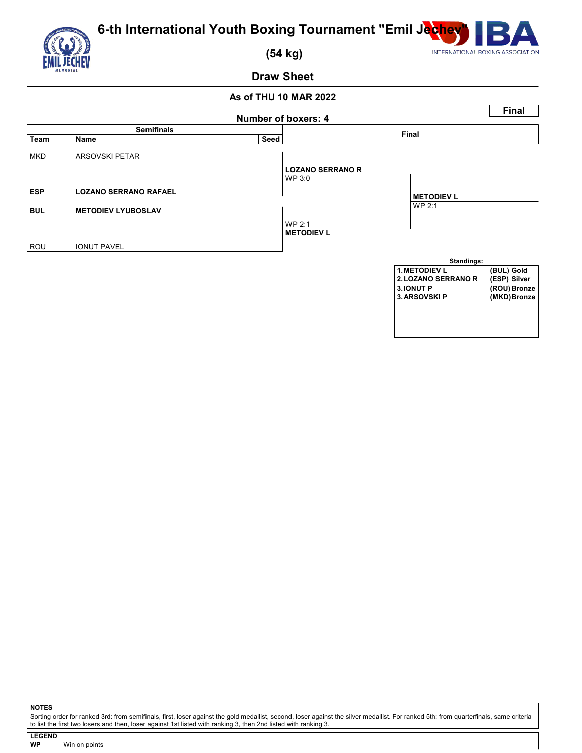



 **(54 kg)**

## **Draw Sheet**

## **As of THU 10 MAR 2022**



**NOTES**

Sorting order for ranked 3rd: from semifinals, first, loser against the gold medallist, second, loser against the silver medallist. For ranked 5th: from quarterfinals, same criteria<br>to list the first two losers and then, l

**LEGEND WP** Win on points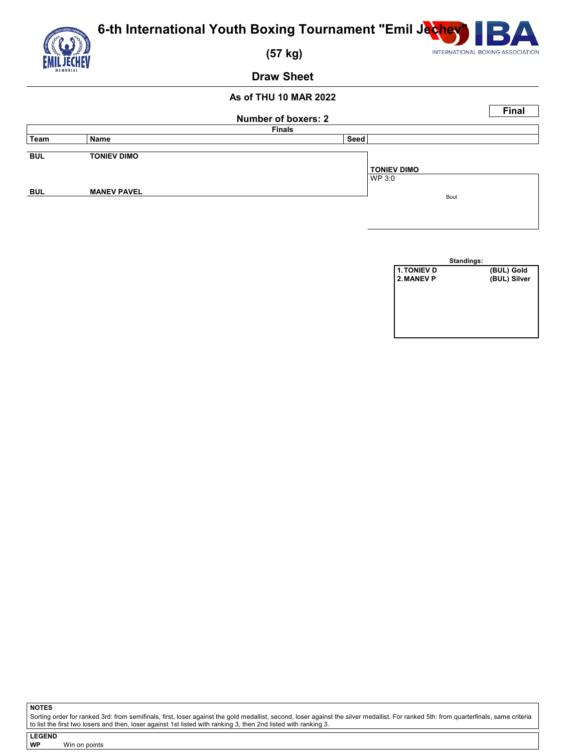

|            | <b>Number of boxers: 2</b> |               |                              |  |  |  |  |  |
|------------|----------------------------|---------------|------------------------------|--|--|--|--|--|
|            |                            | <b>Finals</b> |                              |  |  |  |  |  |
| Team       | Name                       | Seed          |                              |  |  |  |  |  |
| <b>BUL</b> | <b>TONIEV DIMO</b>         |               | <b>TONIEV DIMO</b><br>WP 3:0 |  |  |  |  |  |
| <b>BUL</b> | <b>MANEV PAVEL</b>         |               | Bout                         |  |  |  |  |  |

|             | Standings: |              |
|-------------|------------|--------------|
| 1. TONIEV D |            | (BUL) Gold   |
| 2. MANEV P  |            | (BUL) Silver |
|             |            |              |
|             |            |              |
|             |            |              |
|             |            |              |
|             |            |              |
|             |            |              |

**NOTES**

Sorting order for ranked 3rd: from semifinals, first, loser against the gold medallist, second, loser against the silver medallist. For ranked 5th: from quarterfinals, same criteria<br>to list the first two losers and then, l

**LEGEND Win on points**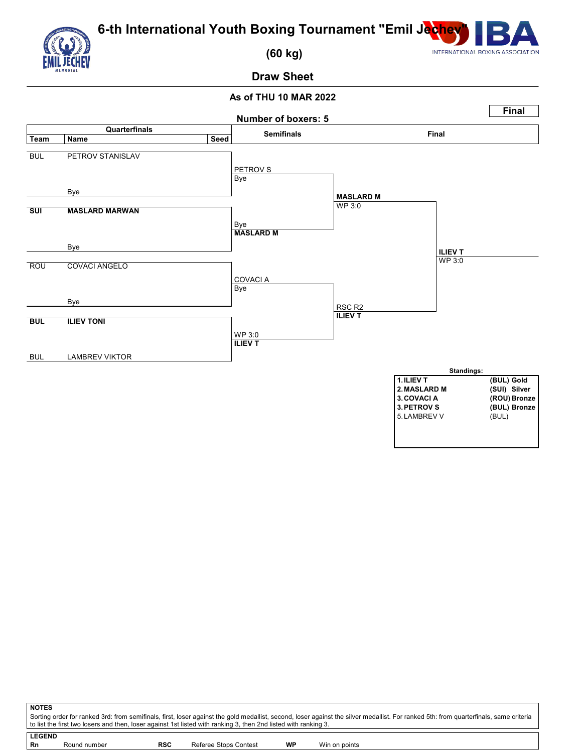



 **(60 kg)**

**Draw Sheet**

## **As of THU 10 MAR 2022**



| <b>NOTES</b>                                                                                                                                                                                                                                                                                             |              |            |                       |    |               |  |  |  |  |
|----------------------------------------------------------------------------------------------------------------------------------------------------------------------------------------------------------------------------------------------------------------------------------------------------------|--------------|------------|-----------------------|----|---------------|--|--|--|--|
| Sorting order for ranked 3rd: from semifinals, first, loser against the gold medallist, second, loser against the silver medallist. For ranked 5th: from quarterfinals, same criteria<br>to list the first two losers and then, loser against 1st listed with ranking 3, then 2nd listed with ranking 3. |              |            |                       |    |               |  |  |  |  |
|                                                                                                                                                                                                                                                                                                          |              |            |                       |    |               |  |  |  |  |
| <b>LEGEND</b>                                                                                                                                                                                                                                                                                            |              |            |                       |    |               |  |  |  |  |
| Rn                                                                                                                                                                                                                                                                                                       | Round number | <b>RSC</b> | Referee Stops Contest | WP | Win on points |  |  |  |  |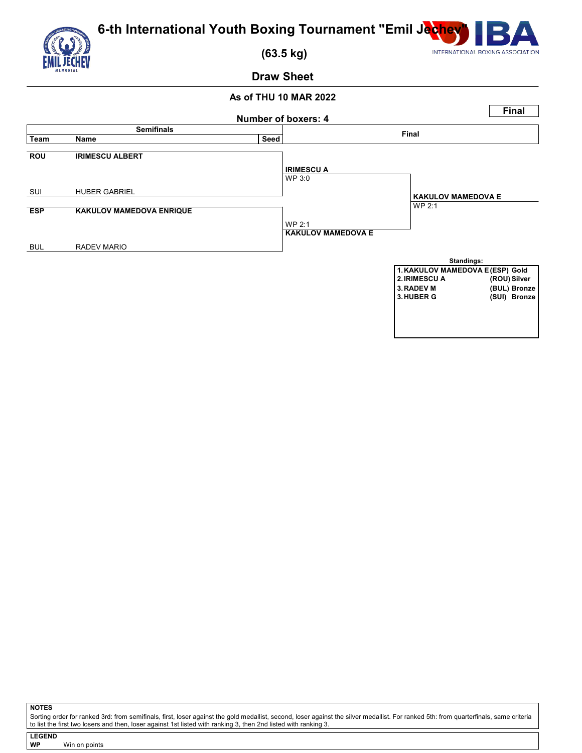



 **(63.5 kg)**

**Draw Sheet**

## **As of THU 10 MAR 2022**



**NOTES**

Sorting order for ranked 3rd: from semifinals, first, loser against the gold medallist, second, loser against the silver medallist. For ranked 5th: from quarterfinals, same criteria<br>to list the first two losers and then, l

**LEGEND WP** Win on points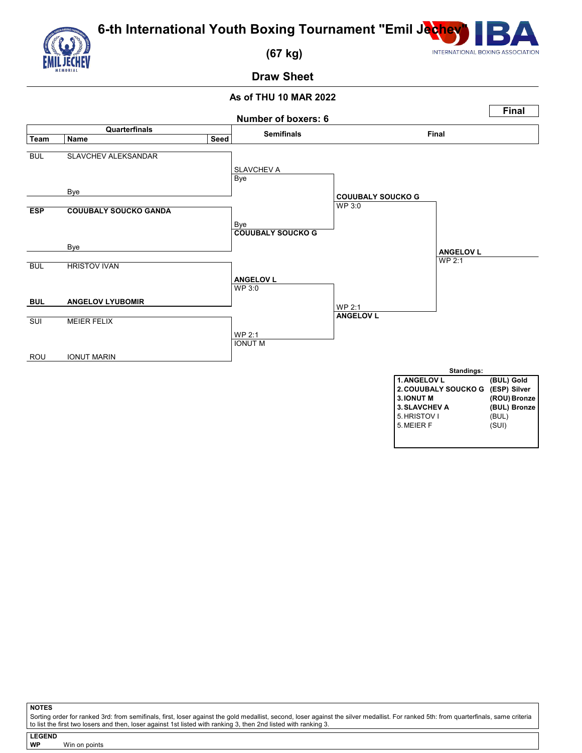



 **(67 kg)**

## **Draw Sheet**

## **As of THU 10 MAR 2022**



**NOTES**

Sorting order for ranked 3rd: from semifinals, first, loser against the gold medallist, second, loser against the silver medallist. For ranked 5th: from quarterfinals, same criteria<br>to list the first two losers and then, l

**LEGEND WP** Win on points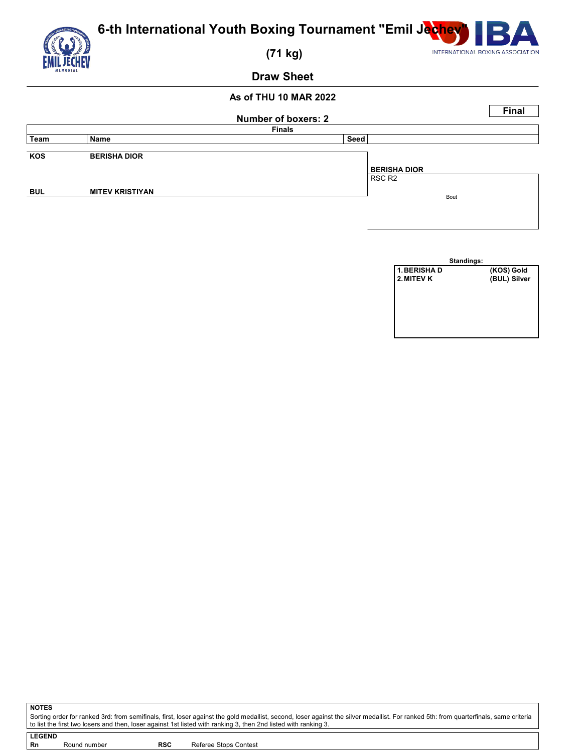

|            | <b>Number of boxers: 2</b> |                                           |  |  |  |  |  |  |  |  |
|------------|----------------------------|-------------------------------------------|--|--|--|--|--|--|--|--|
|            | <b>Finals</b>              |                                           |  |  |  |  |  |  |  |  |
| Team       | Name                       | Seed                                      |  |  |  |  |  |  |  |  |
| KOS        | <b>BERISHA DIOR</b>        | <b>BERISHA DIOR</b><br>RSC R <sub>2</sub> |  |  |  |  |  |  |  |  |
| <b>BUL</b> | <b>MITEV KRISTIYAN</b>     | Bout                                      |  |  |  |  |  |  |  |  |

|              | Standings: |              |
|--------------|------------|--------------|
| 1. BERISHA D |            | (KOS) Gold   |
| 2. MITEV K   |            | (BUL) Silver |
|              |            |              |
|              |            |              |
|              |            |              |
|              |            |              |
|              |            |              |
|              |            |              |

**NOTES** Sorting order for ranked 3rd: from semifinals, first, loser against the gold medallist, second, loser against the silver medallist. For ranked 5th: from quarterfinals, same criteria<br>to list the first two losers and then, l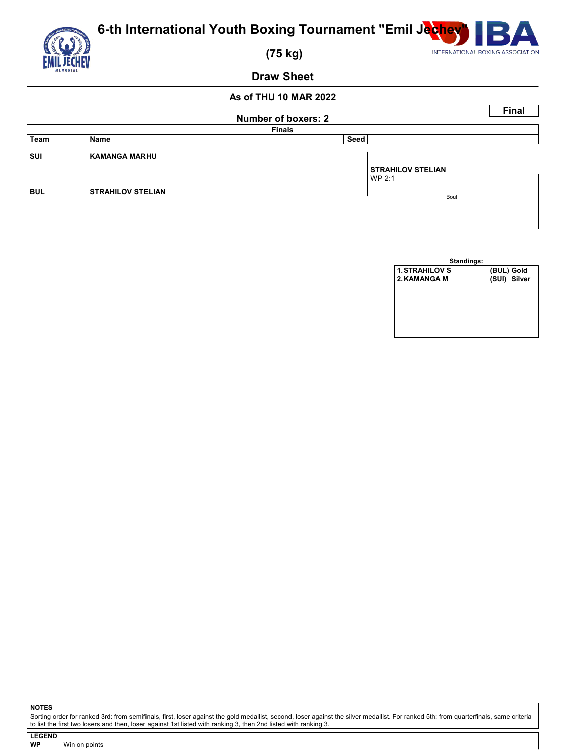

## **As of THU 10 MAR 2022**

|            |                          | Number of boxers: 2                | <b>Final</b> |  |  |  |  |
|------------|--------------------------|------------------------------------|--------------|--|--|--|--|
|            | <b>Finals</b>            |                                    |              |  |  |  |  |
| ∣ Team     | Name                     | Seed                               |              |  |  |  |  |
| <b>SUI</b> | <b>KAMANGA MARHU</b>     | <b>STRAHILOV STELIAN</b><br>WP 2:1 |              |  |  |  |  |
| <b>BUL</b> | <b>STRAHILOV STELIAN</b> | Bout                               |              |  |  |  |  |

| Standings:            |              |  |  |  |  |  |  |
|-----------------------|--------------|--|--|--|--|--|--|
| <b>1. STRAHILOV S</b> | (BUL) Gold   |  |  |  |  |  |  |
| 2. KAMANGA M          | (SUI) Silver |  |  |  |  |  |  |
|                       |              |  |  |  |  |  |  |
|                       |              |  |  |  |  |  |  |
|                       |              |  |  |  |  |  |  |
|                       |              |  |  |  |  |  |  |
|                       |              |  |  |  |  |  |  |
|                       |              |  |  |  |  |  |  |

**NOTES**

Sorting order for ranked 3rd: from semifinals, first, loser against the gold medallist, second, loser against the silver medallist. For ranked 5th: from quarterfinals, same criteria<br>to list the first two losers and then, l

**LEGEND Win on points**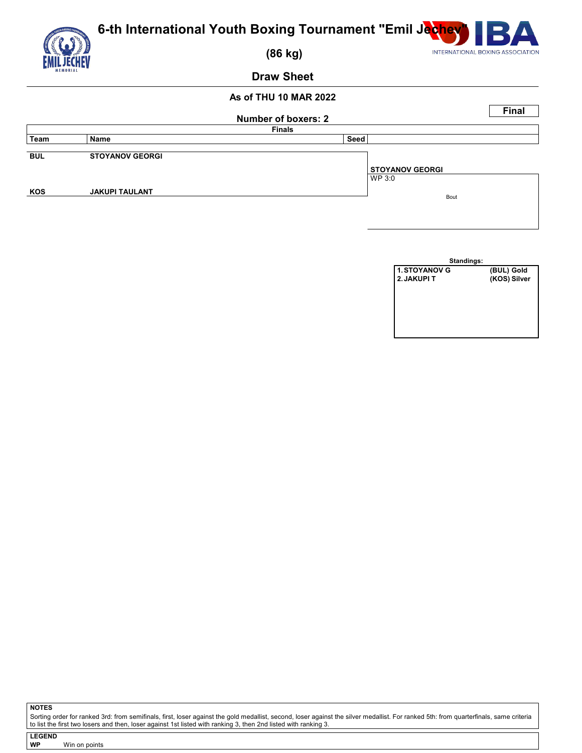

## **As of THU 10 MAR 2022**

|            |                        | Number of boxers: 2              | <b>Final</b> |  |  |  |  |
|------------|------------------------|----------------------------------|--------------|--|--|--|--|
|            | <b>Finals</b>          |                                  |              |  |  |  |  |
| ∣ Team     | Name                   | Seed                             |              |  |  |  |  |
| <b>BUL</b> | <b>STOYANOV GEORGI</b> | <b>STOYANOV GEORGI</b><br>WP 3:0 |              |  |  |  |  |
| KOS        | <b>JAKUPI TAULANT</b>  | Bout                             |              |  |  |  |  |

| Standings:           |              |  |  |  |  |  |  |
|----------------------|--------------|--|--|--|--|--|--|
| <b>1. STOYANOV G</b> | (BUL) Gold   |  |  |  |  |  |  |
| 2. JAKUPI T          | (KOS) Silver |  |  |  |  |  |  |
|                      |              |  |  |  |  |  |  |
|                      |              |  |  |  |  |  |  |
|                      |              |  |  |  |  |  |  |
|                      |              |  |  |  |  |  |  |
|                      |              |  |  |  |  |  |  |
|                      |              |  |  |  |  |  |  |

**NOTES**

Sorting order for ranked 3rd: from semifinals, first, loser against the gold medallist, second, loser against the silver medallist. For ranked 5th: from quarterfinals, same criteria<br>to list the first two losers and then, l

**LEGEND Win on points**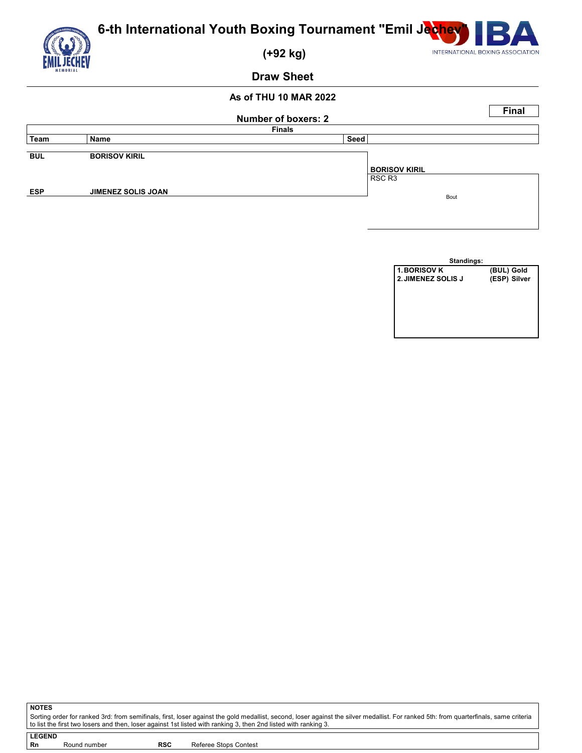

| AS VI IIIU IV MARAZE |                           |                            |                                |              |  |  |  |  |  |
|----------------------|---------------------------|----------------------------|--------------------------------|--------------|--|--|--|--|--|
|                      |                           | <b>Number of boxers: 2</b> |                                | <b>Final</b> |  |  |  |  |  |
|                      | <b>Finals</b>             |                            |                                |              |  |  |  |  |  |
| Team                 | Name                      | Seed                       |                                |              |  |  |  |  |  |
| <b>BUL</b>           | <b>BORISOV KIRIL</b>      |                            | <b>BORISOV KIRIL</b><br>RSC R3 |              |  |  |  |  |  |
| <b>ESP</b>           | <b>JIMENEZ SOLIS JOAN</b> |                            | Bout                           |              |  |  |  |  |  |
|                      |                           |                            |                                |              |  |  |  |  |  |

| (BUL) Gold   |
|--------------|
| (ESP) Silver |
|              |
|              |
|              |
|              |
|              |
|              |
|              |

Sorting order for ranked 3rd: from semifinals, first, loser against the gold medallist, second, loser against the silver medallist. For ranked 5th: from quarterfinals, same criteria<br>to list the first two losers and then, l

**NOTES**